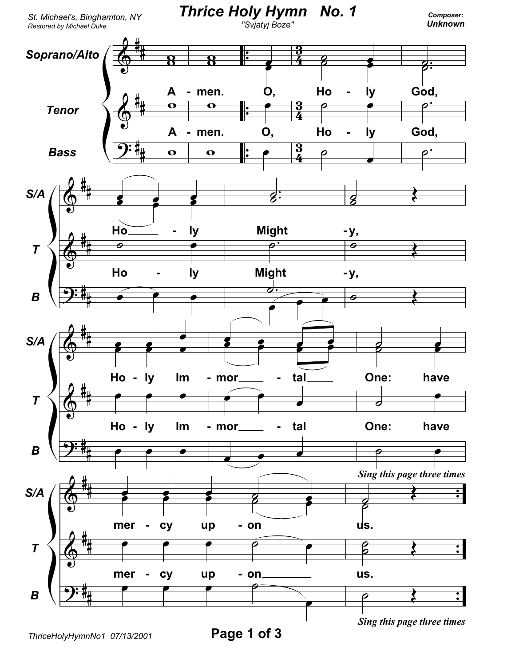

ThriceHolyHymnNo1 07/13/2001

Page 1 of 3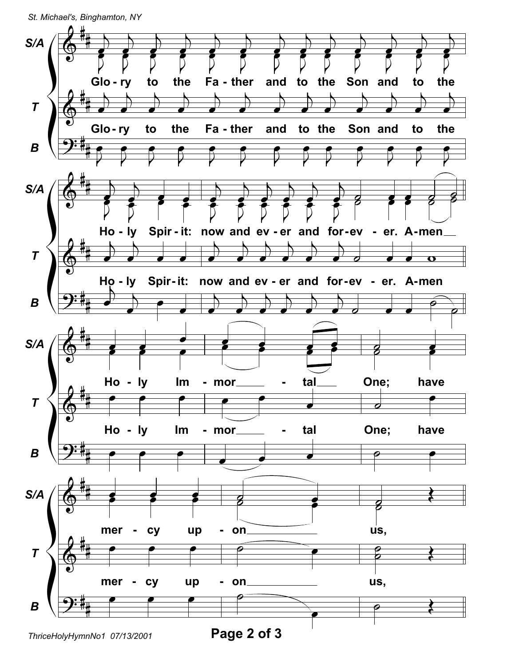St. Michael's, Binghamton, NY



ThriceHolyHymnNo1 07/13/2001

Page 2 of 3